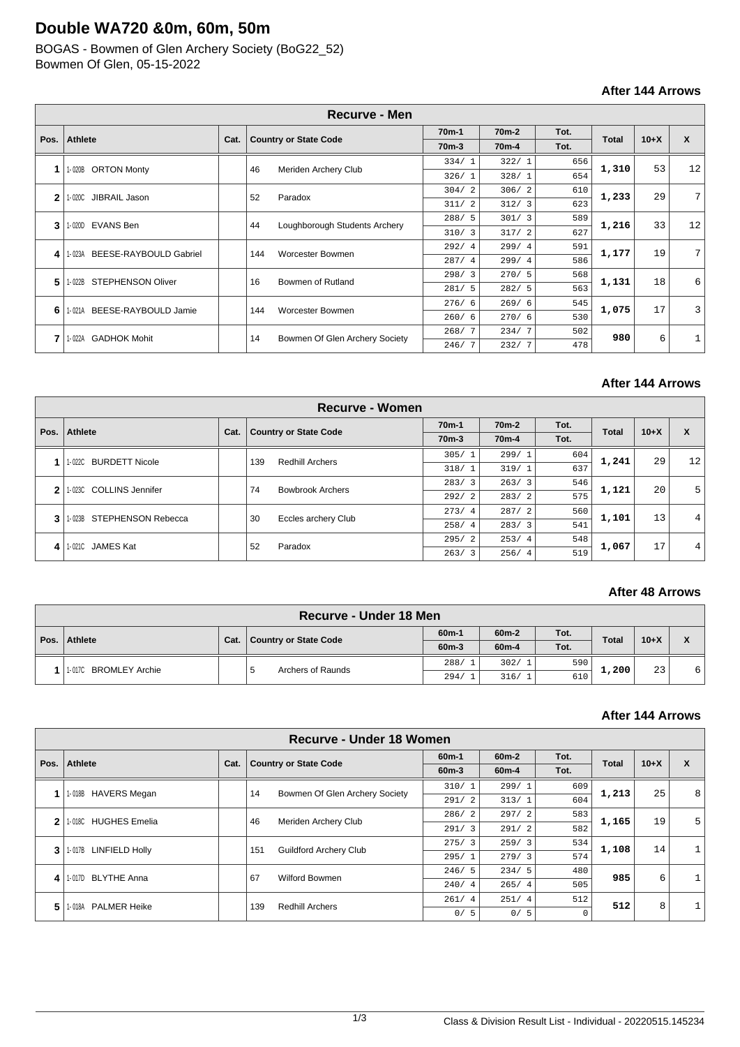# **Double WA720 &0m, 60m, 50m**

BOGAS - Bowmen of Glen Archery Society (BoG22\_52) Bowmen Of Glen, 05-15-2022

## **After 144 Arrows**

|      |                                    |      |     | <b>Recurve - Men</b>           |           |                    |      |              |        |                |
|------|------------------------------------|------|-----|--------------------------------|-----------|--------------------|------|--------------|--------|----------------|
| Pos. | <b>Athlete</b>                     | Cat. |     | <b>Country or State Code</b>   | $70m-1$   | 70 <sub>m</sub> -2 | Tot. | <b>Total</b> | $10+X$ | X              |
|      |                                    |      |     |                                | $70m-3$   | 70 <sub>m</sub> -4 | Tot. |              |        |                |
| 1    | <b>ORTON Monty</b>                 |      | 46  |                                | 334/1     | 322/1              | 656  | 1,310        | 53     | 12             |
|      | 1-020B                             |      |     | Meriden Archery Club           | 326/1     | 328/1              | 654  |              |        |                |
| 2    | JIBRAIL Jason<br>1-020C            |      | 52  | Paradox                        | 304/2     | 306/2              | 610  | 1,233        | 29     | 7 <sup>1</sup> |
|      |                                    |      |     |                                | 2<br>311/ | 312/3              | 623  |              |        |                |
| 3    | <b>EVANS Ben</b><br>1-020D         |      | 44  | Loughborough Students Archery  | 288/5     | 301/3              | 589  | 1,216        | 33     | 12             |
|      |                                    |      |     |                                | 310/3     | 317/2              | 627  |              |        |                |
| 4    | BEESE-RAYBOULD Gabriel<br>1-023A   |      | 144 | Worcester Bowmen               | 292/4     | 299/4              | 591  | 1,177        | 19     | 7 <sup>1</sup> |
|      |                                    |      |     |                                | 287/4     | 299/4              | 586  |              |        |                |
| 5    | <b>STEPHENSON Oliver</b><br>1-022B |      | 16  | Bowmen of Rutland              | 298/3     | 270/5              | 568  | 1,131        | 18     | 6              |
|      |                                    |      |     |                                | 281/5     | 282/5              | 563  |              |        |                |
| 6    | BEESE-RAYBOULD Jamie<br>1-021A     |      | 144 | Worcester Bowmen               | 276/6     | 269/6              | 545  | 1,075        | 17     | $\overline{3}$ |
|      |                                    |      |     |                                | 260/6     | 270/6              | 530  |              |        |                |
| 7    | <b>GADHOK Mohit</b><br>1-022A      |      | 14  | Bowmen Of Glen Archery Society | 268/7     | 234/7              | 502  | 980          | 6      |                |
|      |                                    |      |     |                                | 246/7     | 232/7              | 478  |              |        |                |

## **After 144 Arrows**

|      |                                    |      |               | <b>Recurve - Women</b>        |                        |                    |      |              |        |    |
|------|------------------------------------|------|---------------|-------------------------------|------------------------|--------------------|------|--------------|--------|----|
| Pos. | <b>Athlete</b>                     |      |               |                               | 70 <sub>m</sub> -1     | 70 <sub>m</sub> -2 | Tot. | <b>Total</b> | $10+X$ | X  |
|      |                                    | Cat. |               | <b>Country or State Code</b>  | 70 <sub>m</sub> -3     | 70 <sub>m</sub> -4 | Tot. |              |        |    |
|      | <b>BURDETT Nicole</b>              |      |               |                               | 305/1                  | 299/1              | 604  | 1,241        | 29     | 12 |
|      | 1-022C                             |      |               | <b>Redhill Archers</b><br>139 | 318/1                  | 319/1              | 637  |              |        |    |
| 2    | <b>COLLINS Jennifer</b><br>1- 023C |      | 74            | <b>Bowbrook Archers</b>       | 283/3                  | 263/3              | 546  | 1,121        | 20     | 5  |
|      |                                    |      |               |                               | 292/2                  | 283/2              | 575  |              |        |    |
| 3    | STEPHENSON Rebecca<br>1-023B       |      | 30            | Eccles archery Club           | 273/<br>$\overline{4}$ | 287/2              | 560  | 1,101        | 13     | 4  |
|      |                                    |      |               |                               | 258/4                  | 283/3              | 541  |              |        |    |
| 4    | <b>JAMES Kat</b><br>1-021C         |      |               |                               | 295/2                  | 253/4              | 548  | 1,067        |        | 4  |
|      |                                    |      | 52<br>Paradox | 263/3                         | 256/4                  | 519                |      | 17           |        |    |

#### **After 48 Arrows**

| Recurve - Under 18 Men |      |                       |                    |                    |      |              |        |           |  |
|------------------------|------|-----------------------|--------------------|--------------------|------|--------------|--------|-----------|--|
|                        |      |                       | 60 <sub>m</sub> -1 | 60 <sub>m</sub> -2 | Tot. | <b>Total</b> | $10+X$ | Y         |  |
| Pos.   Athlete         | Cat. | Country or State Code | $60m-3$            | $60m-4$            | Tot. |              |        | $\lambda$ |  |
|                        |      | Archers of Raunds     | 288/               | 302/1              | 590  | 1,200        |        |           |  |
| 1-017C BROMLEY Archie  |      |                       | 294/               | 316/1              | 610  |              | 23     | 6         |  |

#### **After 144 Arrows**

|              | Recurve - Under 18 Women       |      |     |                                |         |         |      |              |        |                |
|--------------|--------------------------------|------|-----|--------------------------------|---------|---------|------|--------------|--------|----------------|
| Pos.         | <b>Athlete</b>                 |      |     | <b>Country or State Code</b>   | $60m-1$ | $60m-2$ | Tot. | <b>Total</b> | $10+X$ | X              |
|              |                                | Cat. |     |                                | $60m-3$ | $60m-4$ | Tot. |              |        |                |
|              | <b>HAVERS Megan</b><br>1-018B  |      | 14  | Bowmen Of Glen Archery Society | 310/1   | 299/1   | 609  | 1,213        | 25     | 8              |
|              |                                |      |     |                                | 291/2   | 313/1   | 604  |              |        |                |
| $\mathbf{2}$ | <b>HUGHES Emelia</b><br>1-018C |      | 46  | Meriden Archery Club           | 286/2   | 297/2   | 583  | 1,165        | 19     | 5 <sup>1</sup> |
|              |                                |      |     |                                | 291/3   | 291/2   | 582  |              |        |                |
| 3            | 1-017B LINFIELD Holly          |      | 151 | <b>Guildford Archery Club</b>  | 275/3   | 259/3   | 534  | 1,108        | 14     |                |
|              |                                |      |     |                                | 295/1   | 279/3   | 574  |              |        |                |
| 4            | <b>BLYTHE Anna</b><br>1-017D   |      | 67  | Wilford Bowmen                 | 246/5   | 234/5   | 480  | 985          | 6      |                |
|              |                                |      |     |                                | 240/4   | 265/4   | 505  |              |        |                |
| 5            | <b>PALMER Heike</b><br>1-018A  |      | 139 | <b>Redhill Archers</b>         | 261/4   | 251/4   | 512  | 512          | 8      |                |
|              |                                |      |     |                                | 0/5     | 0/5     |      |              |        |                |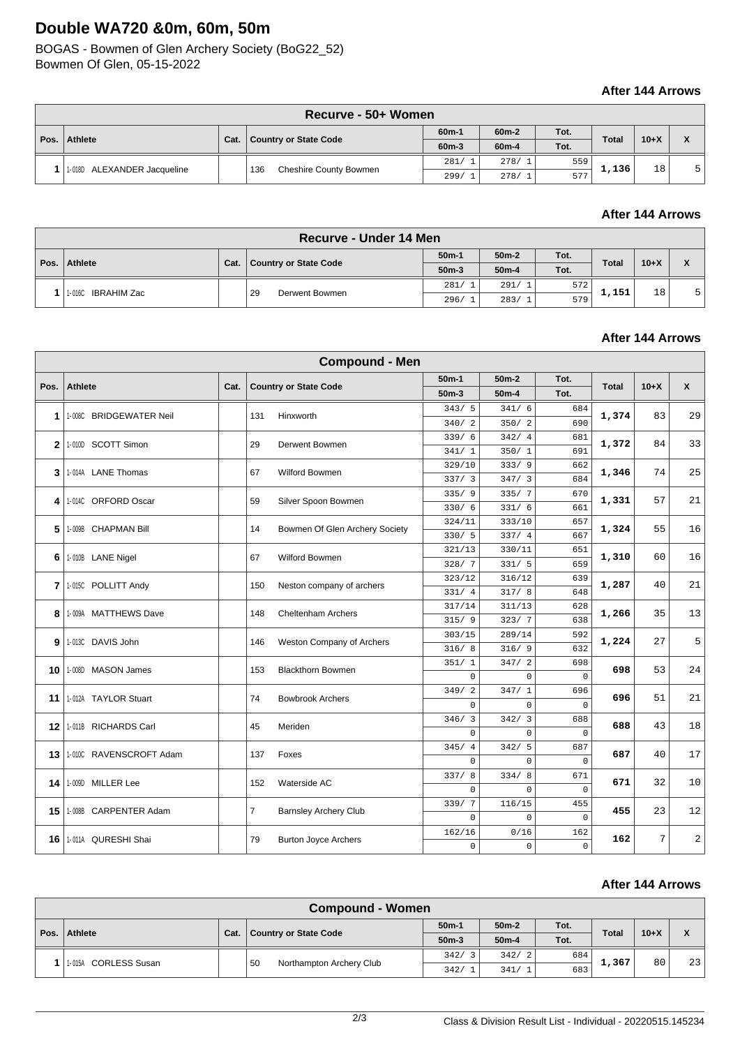# **Double WA720 &0m, 60m, 50m**

BOGAS - Bowmen of Glen Archery Society (BoG22\_52) Bowmen Of Glen, 05-15-2022

### **After 144 Arrows**

|      | Recurve - 50+ Women         |      |                              |         |                    |      |              |        |  |  |
|------|-----------------------------|------|------------------------------|---------|--------------------|------|--------------|--------|--|--|
|      |                             |      |                              | $60m-1$ | 60 <sub>m</sub> -2 | Tot. |              |        |  |  |
| Pos. | <b>Athlete</b>              | Cat. | <b>Country or State Code</b> | $60m-3$ | $60m-4$            | Tot. | <b>Total</b> | $10+X$ |  |  |
|      |                             |      | 136                          | 281/    | 278/1              | 559  | 1,136        | 18     |  |  |
|      | 1-018D ALEXANDER Jacqueline |      | Cheshire County Bowmen       | 299/    | 278/1              | 577  |              |        |  |  |

#### **After 144 Arrows**

|      | <b>Recurve - Under 14 Men</b> |      |                       |            |         |      |              |        |              |  |
|------|-------------------------------|------|-----------------------|------------|---------|------|--------------|--------|--------------|--|
|      |                               |      |                       | $50m-1$    | $50m-2$ | Tot. |              | $10+X$ | $\checkmark$ |  |
| Pos. | Athlete                       | Cat. | Country or State Code | $50m-3$    | $50m-4$ | Tot. | <b>Total</b> |        | $\lambda$    |  |
|      |                               |      |                       | 281/       | 291/1   | 572  | 1,151        | 18     | 5            |  |
|      | 1-016C IBRAHIM Zac            |      | 29<br>Derwent Bowmen  | 296/<br>-1 | 283/1   | 579  |              |        |              |  |

### **After 144 Arrows**

|              |                         |      |                | <b>Compound - Men</b>          |             |             |              |       |        |                |
|--------------|-------------------------|------|----------------|--------------------------------|-------------|-------------|--------------|-------|--------|----------------|
|              |                         |      |                |                                | $50m-1$     | $50m-2$     | Tot.         |       |        |                |
| Pos.         | Athlete                 | Cat. |                | <b>Country or State Code</b>   | $50m-3$     | $50m-4$     | Tot.         | Total | $10+X$ | $\mathsf{x}$   |
|              |                         |      |                |                                | 343/5       | 341/6       | 684          |       |        |                |
| 1            | 1-008C BRIDGEWATER Neil |      | 131            | Hinxworth                      | 340/2       | 350/2       | 690          | 1,374 | 83     | 29             |
|              | 1-010D SCOTT Simon      |      |                |                                | 339/6       | 342/4       | 681          |       |        |                |
| $\mathbf{2}$ |                         |      | 29             | Derwent Bowmen                 | 341/1       | 350/1       | 691          | 1,372 | 84     | 33             |
|              | 1-014A LANE Thomas      |      | 67             | Wilford Bowmen                 | 329/10      | 333/9       | 662          | 1,346 | 74     | 25             |
| 3            |                         |      |                |                                | 337/3       | 347/3       | 684          |       |        |                |
| 4            | 1-014C ORFORD Oscar     |      | 59             | Silver Spoon Bowmen            | 335/9       | 335/7       | 670          | 1,331 | 57     | 21             |
|              |                         |      |                |                                | 330/6       | 331/6       | 661          |       |        |                |
| 5            | 1-009B CHAPMAN Bill     |      | 14             | Bowmen Of Glen Archery Society | 324/11      | 333/10      | 657          | 1,324 | 55     | 16             |
|              |                         |      |                |                                | 330/5       | 337/4       | 667          |       |        |                |
| 6            | 1-010B LANE Nigel       |      | 67             | Wilford Bowmen                 | 321/13      | 330/11      | 651          | 1,310 | 60     | 16             |
|              |                         |      |                |                                | 328/7       | 331/5       | 659          |       |        |                |
| 7            | 1-015C POLLITT Andy     |      | 150            | Neston company of archers      | 323/12      | 316/12      | 639          | 1,287 | 40     | 21             |
|              |                         |      |                |                                | 331/4       | 317/8       | 648          |       |        |                |
| 8            | 1-009A MATTHEWS Dave    |      | 148            | <b>Cheltenham Archers</b>      | 317/14      | 311/13      | 628          | 1,266 | 35     | 13             |
|              |                         |      |                |                                | 315/9       | 323/7       | 638          |       |        |                |
| 9            | 1-013C DAVIS John       |      | 146            | Weston Company of Archers      | 303/15      | 289/14      | 592          | 1,224 | 27     | 5              |
|              |                         |      |                |                                | 316/8       | 316/9       | 632          |       |        |                |
| 10           | 1-008D MASON James      |      | 153            | <b>Blackthorn Bowmen</b>       | 351/1       | 347/2       | 698          | 698   | 53     | 24             |
|              |                         |      |                |                                | $\Omega$    | $\Omega$    | $\Omega$     |       |        |                |
| 11           | 1-012A TAYLOR Stuart    |      | 74             | <b>Bowbrook Archers</b>        | 349/2       | 347/1       | 696          | 696   | 51     | 21             |
|              |                         |      |                |                                | 0           | $\mathbf 0$ | $\mathbf{0}$ |       |        |                |
| 12           | 1-011B RICHARDS Carl    |      | 45             | Meriden                        | 346/3       | 342/3       | 688          | 688   | 43     | 18             |
|              |                         |      |                |                                | 0           | $\mathbf 0$ | $\Omega$     |       |        |                |
| 13           | 1-010C RAVENSCROFT Adam |      | 137            | Foxes                          | 345/4       | 342/5       | 687          | 687   | 40     | 17             |
|              |                         |      |                |                                | $\Omega$    | $\Omega$    | $\Omega$     |       |        |                |
| 14           | 1-009D MILLER Lee       |      | 152            | Waterside AC                   | 337/8       | 334/8       | 671          | 671   | 32     | 10             |
|              |                         |      |                |                                | $\mathbf 0$ | $\mathbf 0$ | $\mathbf{0}$ |       |        |                |
| 15 I         | 1-008B CARPENTER Adam   |      | $\overline{7}$ | <b>Barnsley Archery Club</b>   | 339/7       | 116/15      | 455          | 455   | 23     | 12             |
|              |                         |      |                |                                | 0           | $\mathbf 0$ | $\mathbf{0}$ |       |        |                |
| 16           | 1-011A QURESHI Shai     |      | 79             | <b>Burton Joyce Archers</b>    | 162/16      | 0/16        | 162          | 162   | 7      | $\overline{c}$ |
|              |                         |      |                |                                | $\mathbf 0$ | $\Omega$    | $\Omega$     |       |        |                |

### **After 144 Arrows**

|              | <b>Compound - Women</b> |      |                                |         |                  |      |              |        |    |  |  |
|--------------|-------------------------|------|--------------------------------|---------|------------------|------|--------------|--------|----|--|--|
|              |                         | Cat. |                                | $50m-1$ | $50m-2$          | Tot. | <b>Total</b> | $10+X$ | Y  |  |  |
| Pos. $\vert$ | Athlete                 |      | <b>Country or State Code</b>   | $50m-3$ | $50m-4$          | Tot. |              |        | Λ  |  |  |
|              | 1-015A                  |      | 50<br>Northampton Archery Club | 342/3   | 342/<br>$\sim$ 2 | 684  | 1,367        | 80     | 23 |  |  |
|              | <b>CORLESS Susan</b>    |      |                                | 342/    | 341/             | 683  |              |        |    |  |  |